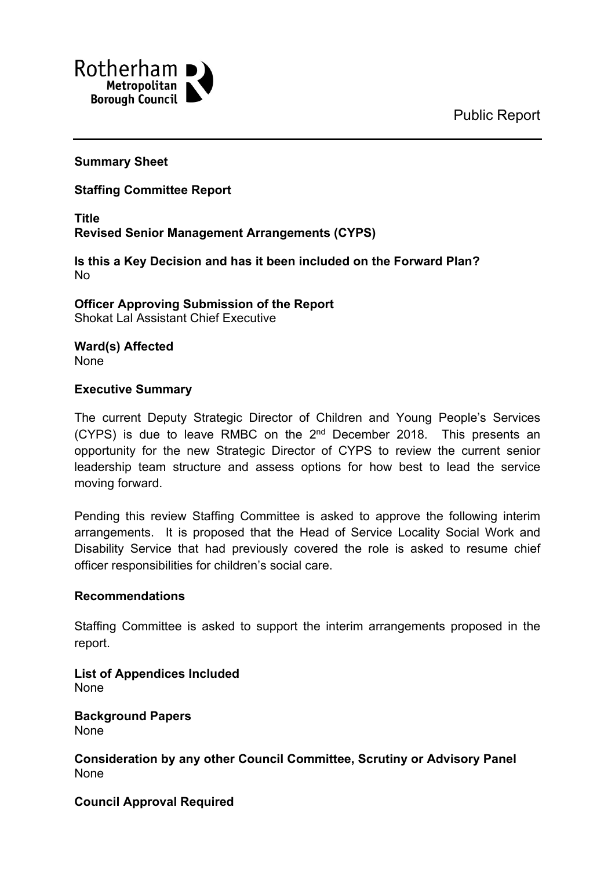

#### **Summary Sheet**

#### **Staffing Committee Report**

**Title Revised Senior Management Arrangements (CYPS)**

**Is this a Key Decision and has it been included on the Forward Plan?** No

**Officer Approving Submission of the Report** Shokat Lal Assistant Chief Executive

**Ward(s) Affected** None

#### **Executive Summary**

The current Deputy Strategic Director of Children and Young People's Services (CYPS) is due to leave RMBC on the  $2^{nd}$  December 2018. This presents an opportunity for the new Strategic Director of CYPS to review the current senior leadership team structure and assess options for how best to lead the service moving forward.

Pending this review Staffing Committee is asked to approve the following interim arrangements. It is proposed that the Head of Service Locality Social Work and Disability Service that had previously covered the role is asked to resume chief officer responsibilities for children's social care.

#### **Recommendations**

Staffing Committee is asked to support the interim arrangements proposed in the report.

**List of Appendices Included** None

**Background Papers** None

**Consideration by any other Council Committee, Scrutiny or Advisory Panel** None

#### **Council Approval Required**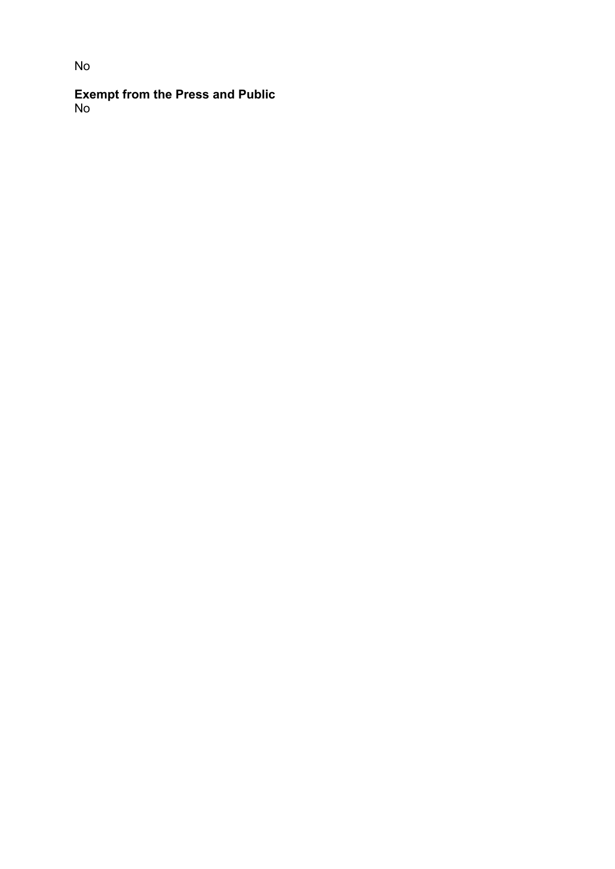**Exempt from the Press and Public** No

# No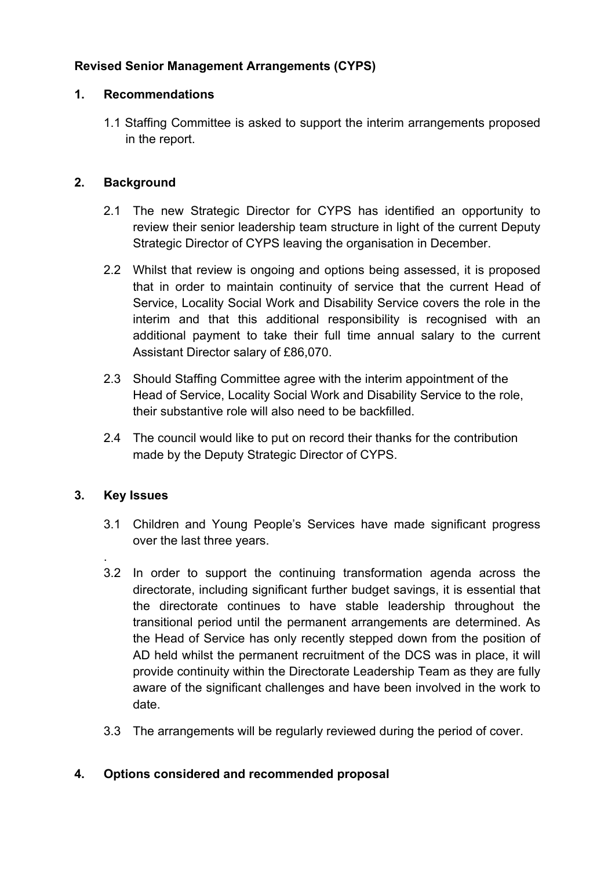# **Revised Senior Management Arrangements (CYPS)**

#### **1. Recommendations**

1.1 Staffing Committee is asked to support the interim arrangements proposed in the report.

# **2. Background**

- 2.1 The new Strategic Director for CYPS has identified an opportunity to review their senior leadership team structure in light of the current Deputy Strategic Director of CYPS leaving the organisation in December.
- 2.2 Whilst that review is ongoing and options being assessed, it is proposed that in order to maintain continuity of service that the current Head of Service, Locality Social Work and Disability Service covers the role in the interim and that this additional responsibility is recognised with an additional payment to take their full time annual salary to the current Assistant Director salary of £86,070.
- 2.3 Should Staffing Committee agree with the interim appointment of the Head of Service, Locality Social Work and Disability Service to the role, their substantive role will also need to be backfilled.
- 2.4 The council would like to put on record their thanks for the contribution made by the Deputy Strategic Director of CYPS.

## **3. Key Issues**

.

- 3.1 Children and Young People's Services have made significant progress over the last three years.
- 3.2 In order to support the continuing transformation agenda across the directorate, including significant further budget savings, it is essential that the directorate continues to have stable leadership throughout the transitional period until the permanent arrangements are determined. As the Head of Service has only recently stepped down from the position of AD held whilst the permanent recruitment of the DCS was in place, it will provide continuity within the Directorate Leadership Team as they are fully aware of the significant challenges and have been involved in the work to date.
- 3.3 The arrangements will be regularly reviewed during the period of cover.

## **4. Options considered and recommended proposal**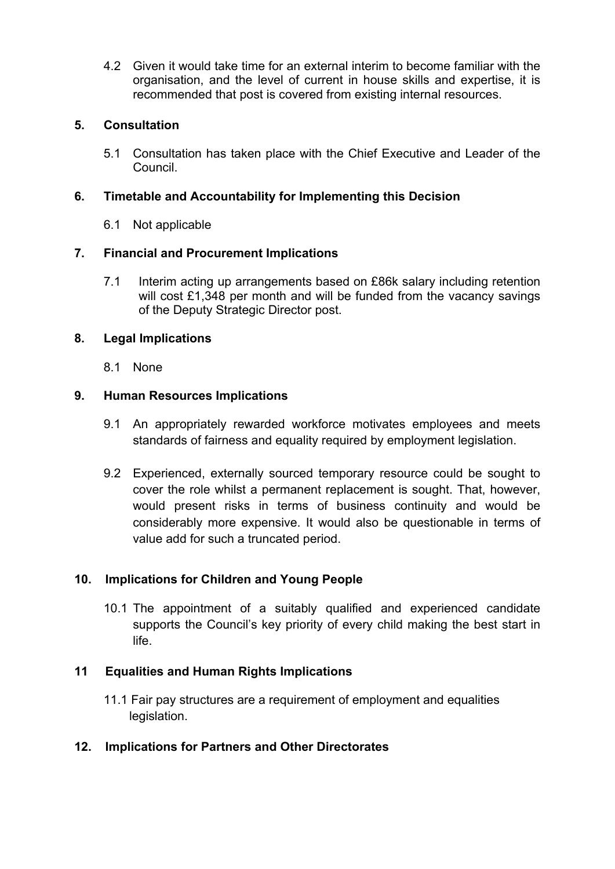4.2 Given it would take time for an external interim to become familiar with the organisation, and the level of current in house skills and expertise, it is recommended that post is covered from existing internal resources.

# **5. Consultation**

5.1 Consultation has taken place with the Chief Executive and Leader of the Council.

# **6. Timetable and Accountability for Implementing this Decision**

6.1 Not applicable

# **7. Financial and Procurement Implications**

7.1 Interim acting up arrangements based on £86k salary including retention will cost £1,348 per month and will be funded from the vacancy savings of the Deputy Strategic Director post.

# **8. Legal Implications**

8.1 None

# **9. Human Resources Implications**

- 9.1 An appropriately rewarded workforce motivates employees and meets standards of fairness and equality required by employment legislation.
- 9.2 Experienced, externally sourced temporary resource could be sought to cover the role whilst a permanent replacement is sought. That, however, would present risks in terms of business continuity and would be considerably more expensive. It would also be questionable in terms of value add for such a truncated period.

# **10. Implications for Children and Young People**

10.1 The appointment of a suitably qualified and experienced candidate supports the Council's key priority of every child making the best start in life.

## **11 Equalities and Human Rights Implications**

11.1 Fair pay structures are a requirement of employment and equalities legislation.

## **12. Implications for Partners and Other Directorates**